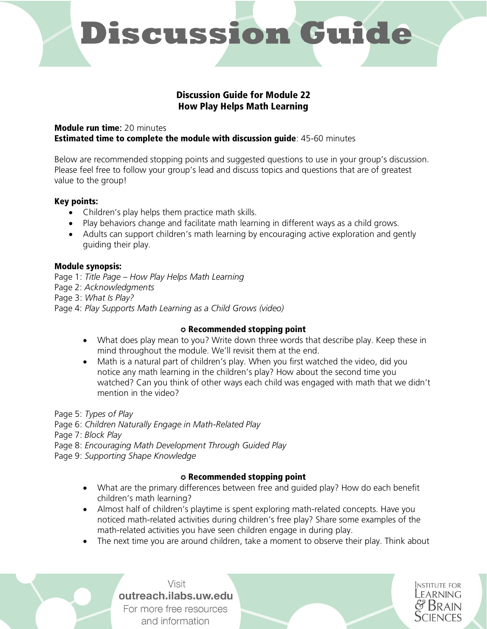# **Discussion Guide**

# Discussion Guide for Module 22 How Play Helps Math Learning

#### Module run time: 20 minutes Estimated time to complete the module with discussion guide: 45-60 minutes

Below are recommended stopping points and suggested questions to use in your group's discussion. Please feel free to follow your group's lead and discuss topics and questions that are of greatest value to the group!

# Key points:

- Children's play helps them practice math skills.
- Play behaviors change and facilitate math learning in different ways as a child grows.
- Adults can support children's math learning by encouraging active exploration and gently guiding their play.

# Module synopsis:

Page 1: *Title Page – How Play Helps Math Learning* Page 2: *Acknowledgments* Page 3: *What Is Play?* Page 4: *Play Supports Math Learning as a Child Grows (video)*

# ✪ Recommended stopping point

- What does play mean to you? Write down three words that describe play. Keep these in mind throughout the module. We'll revisit them at the end.
- Math is a natural part of children's play. When you first watched the video, did you notice any math learning in the children's play? How about the second time you watched? Can you think of other ways each child was engaged with math that we didn't mention in the video?

Page 5: *Types of Play*

Page 6: *Children Naturally Engage in Math-Related Play*

Page 7: *Block Play*

Page 8: *Encouraging Math Development Through Guided Play*

Page 9: *Supporting Shape Knowledge*

# ✪ Recommended stopping point

- What are the primary differences between free and guided play? How do each benefit children's math learning?
- Almost half of children's playtime is spent exploring math-related concepts. Have you noticed math-related activities during children's free play? Share some examples of the math-related activities you have seen children engage in during play.
- The next time you are around children, take a moment to observe their play. Think about

Visit outreach.ilabs.uw.edu For more free resources and information

**INSTITUTE FOR** LEARNING **SCIENCES**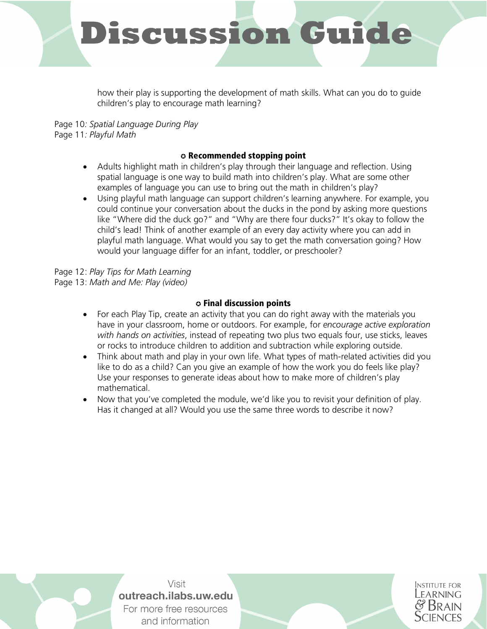

how their play is supporting the development of math skills. What can you do to guide children's play to encourage math learning?

Page 10*: Spatial Language During Play* Page 11*: Playful Math*

# ✪ Recommended stopping point

- Adults highlight math in children's play through their language and reflection. Using spatial language is one way to build math into children's play. What are some other examples of language you can use to bring out the math in children's play?
- Using playful math language can support children's learning anywhere. For example, you could continue your conversation about the ducks in the pond by asking more questions like "Where did the duck go?" and "Why are there four ducks?" It's okay to follow the child's lead! Think of another example of an every day activity where you can add in playful math language. What would you say to get the math conversation going? How would your language differ for an infant, toddler, or preschooler?

Page 12: *Play Tips for Math Learning* Page 13: *Math and Me: Play (video)*

#### ✪ Final discussion points

- For each Play Tip, create an activity that you can do right away with the materials you have in your classroom, home or outdoors. For example, for *encourage active exploration with hands on activities*, instead of repeating two plus two equals four, use sticks, leaves or rocks to introduce children to addition and subtraction while exploring outside.
- Think about math and play in your own life. What types of math-related activities did you like to do as a child? Can you give an example of how the work you do feels like play? Use your responses to generate ideas about how to make more of children's play mathematical.
- Now that you've completed the module, we'd like you to revisit your definition of play. Has it changed at all? Would you use the same three words to describe it now?

Visit outreach.ilabs.uw.edu For more free resources and information

**INSTITUTE FOR FARNING**